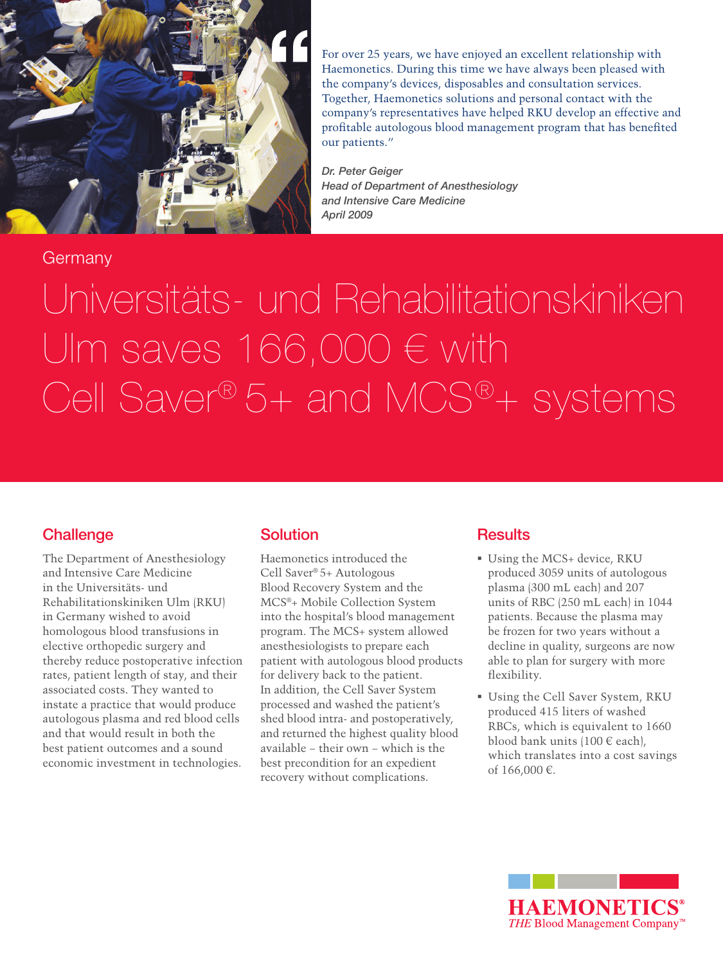

For over 25 years, we have enjoyed an excellent relationship with Haemonetics. During this time we have always been pleased with the company's devices, disposables and consultation services. Together, Haemonetics solutions and personal contact with the company's representatives have helped RKU develop an effective and profitable autologous blood management program that has benefited our patients."

*Dr. Peter Geiger Head of Department of Anesthesiology and Intensive Care Medicine April 2009*

## **Germany**

Universitäts- und Rehabilitationskiniken Ulm saves  $166,000 \in \text{with}$ Cell Saver® 5+ and MCS®+ systems

## **Challenge**

The Department of Anesthesiology and Intensive Care Medicine in the Universitäts- und Rehabilitationskiniken Ulm (RKU) in Germany wished to avoid homologous blood transfusions in elective orthopedic surgery and thereby reduce postoperative infection rates, patient length of stay, and their associated costs. They wanted to instate a practice that would produce autologous plasma and red blood cells and that would result in both the best patient outcomes and a sound economic investment in technologies.

## **Solution**

Haemonetics introduced the Cell Saver® 5+ Autologous Blood Recovery System and the MCS®+ Mobile Collection System into the hospital's blood management program. The MCS+ system allowed anesthesiologists to prepare each patient with autologous blood products for delivery back to the patient. In addition, the Cell Saver System processed and washed the patient's shed blood intra- and postoperatively, and returned the highest quality blood available − their own − which is the best precondition for an expedient recovery without complications.

## **Results**

- Using the MCS+ device, RKU produced 3059 units of autologous plasma (300 mL each) and 207 units of RBC (250 mL each) in 1044 patients. Because the plasma may be frozen for two years without a decline in quality, surgeons are now able to plan for surgery with more flexibility.
- Using the Cell Saver System, RKU produced 415 liters of washed RBCs, which is equivalent to 1660 blood bank units (100 € each), which translates into a cost savings of 166,000 €.